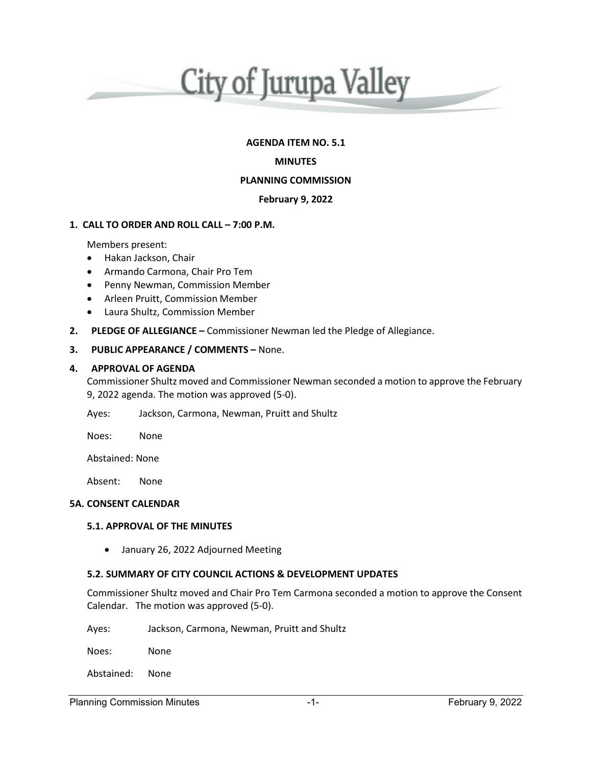

# **AGENDA ITEM NO. 5.1**

## **MINUTES**

# **PLANNING COMMISSION**

## **February 9, 2022**

## **1. CALL TO ORDER AND ROLL CALL – 7:00 P.M.**

Members present:

- Hakan Jackson, Chair
- Armando Carmona, Chair Pro Tem
- Penny Newman, Commission Member
- Arleen Pruitt, Commission Member
- Laura Shultz, Commission Member
- **2. PLEDGE OF ALLEGIANCE –** Commissioner Newman led the Pledge of Allegiance.

## **3. PUBLIC APPEARANCE / COMMENTS –** None.

### **4. APPROVAL OF AGENDA**

Commissioner Shultz moved and Commissioner Newman seconded a motion to approve the February 9, 2022 agenda. The motion was approved (5-0).

Ayes: Jackson, Carmona, Newman, Pruitt and Shultz

Noes: None

Abstained: None

Absent: None

#### **5A. CONSENT CALENDAR**

## **5.1. APPROVAL OF THE MINUTES**

• January 26, 2022 Adjourned Meeting

### **5.2. SUMMARY OF CITY COUNCIL ACTIONS & DEVELOPMENT UPDATES**

Commissioner Shultz moved and Chair Pro Tem Carmona seconded a motion to approve the Consent Calendar. The motion was approved (5-0).

Ayes: Jackson, Carmona, Newman, Pruitt and Shultz

Noes: None

Abstained: None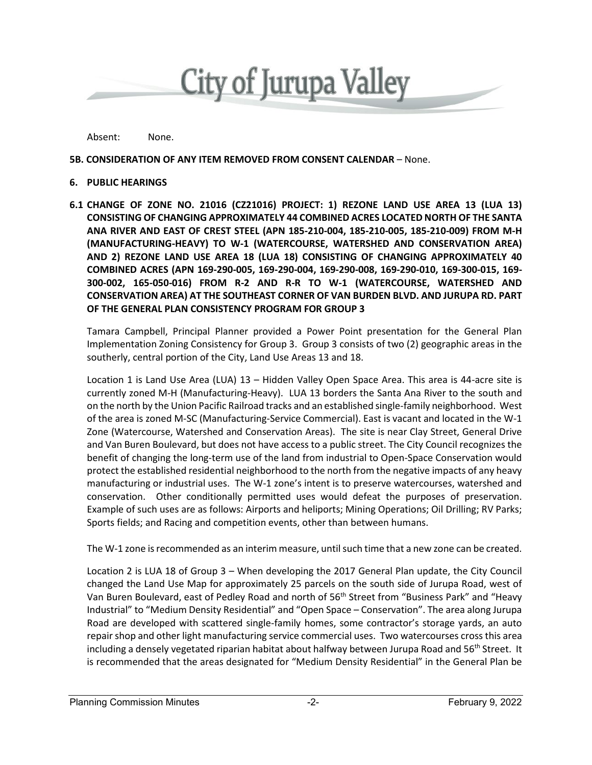

Absent: None.

### **5B. CONSIDERATION OF ANY ITEM REMOVED FROM CONSENT CALENDAR** – None.

#### **6. PUBLIC HEARINGS**

**6.1 CHANGE OF ZONE NO. 21016 (CZ21016) PROJECT: 1) REZONE LAND USE AREA 13 (LUA 13) CONSISTING OF CHANGING APPROXIMATELY 44 COMBINED ACRES LOCATED NORTH OF THE SANTA ANA RIVER AND EAST OF CREST STEEL (APN 185-210-004, 185-210-005, 185-210-009) FROM M-H (MANUFACTURING-HEAVY) TO W-1 (WATERCOURSE, WATERSHED AND CONSERVATION AREA) AND 2) REZONE LAND USE AREA 18 (LUA 18) CONSISTING OF CHANGING APPROXIMATELY 40 COMBINED ACRES (APN 169-290-005, 169-290-004, 169-290-008, 169-290-010, 169-300-015, 169- 300-002, 165-050-016) FROM R-2 AND R-R TO W-1 (WATERCOURSE, WATERSHED AND CONSERVATION AREA) AT THE SOUTHEAST CORNER OF VAN BURDEN BLVD. AND JURUPA RD. PART OF THE GENERAL PLAN CONSISTENCY PROGRAM FOR GROUP 3**

Tamara Campbell, Principal Planner provided a Power Point presentation for the General Plan Implementation Zoning Consistency for Group 3. Group 3 consists of two (2) geographic areas in the southerly, central portion of the City, Land Use Areas 13 and 18.

Location 1 is Land Use Area (LUA) 13 – Hidden Valley Open Space Area. This area is 44-acre site is currently zoned M-H (Manufacturing-Heavy). LUA 13 borders the Santa Ana River to the south and on the north by the Union Pacific Railroad tracks and an established single-family neighborhood. West of the area is zoned M-SC (Manufacturing-Service Commercial). East is vacant and located in the W-1 Zone (Watercourse, Watershed and Conservation Areas). The site is near Clay Street, General Drive and Van Buren Boulevard, but does not have access to a public street. The City Council recognizes the benefit of changing the long-term use of the land from industrial to Open-Space Conservation would protect the established residential neighborhood to the north from the negative impacts of any heavy manufacturing or industrial uses. The W-1 zone's intent is to preserve watercourses, watershed and conservation. Other conditionally permitted uses would defeat the purposes of preservation. Example of such uses are as follows: Airports and heliports; Mining Operations; Oil Drilling; RV Parks; Sports fields; and Racing and competition events, other than between humans.

The W-1 zone is recommended as an interim measure, until such time that a new zone can be created.

Location 2 is LUA 18 of Group 3 – When developing the 2017 General Plan update, the City Council changed the Land Use Map for approximately 25 parcels on the south side of Jurupa Road, west of Van Buren Boulevard, east of Pedley Road and north of 56<sup>th</sup> Street from "Business Park" and "Heavy Industrial" to "Medium Density Residential" and "Open Space – Conservation". The area along Jurupa Road are developed with scattered single-family homes, some contractor's storage yards, an auto repair shop and other light manufacturing service commercial uses. Two watercourses cross this area including a densely vegetated riparian habitat about halfway between Jurupa Road and 56<sup>th</sup> Street. It is recommended that the areas designated for "Medium Density Residential" in the General Plan be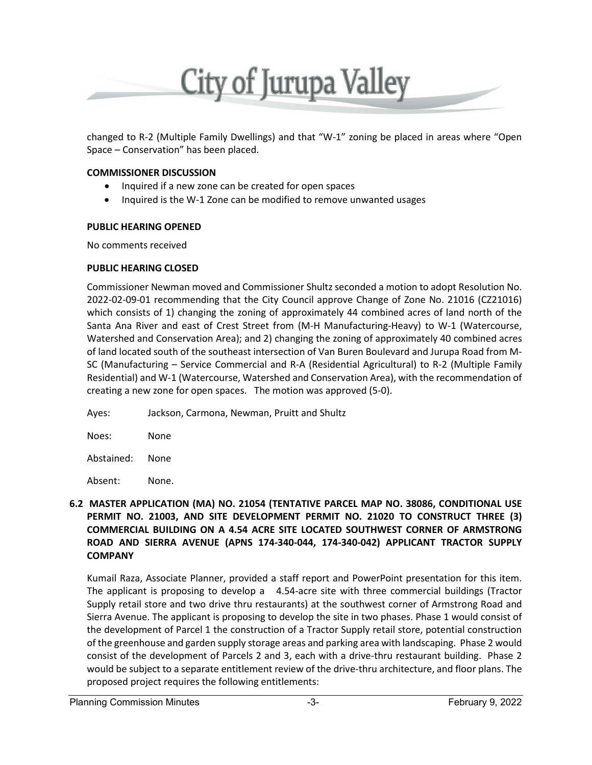

changed to R-2 (Multiple Family Dwellings) and that "W-1" zoning be placed in areas where "Open Space – Conservation" has been placed.

## **COMMISSIONER DISCUSSION**

- Inquired if a new zone can be created for open spaces
- Inquired is the W-1 Zone can be modified to remove unwanted usages

### **PUBLIC HEARING OPENED**

No comments received

### **PUBLIC HEARING CLOSED**

Commissioner Newman moved and Commissioner Shultz seconded a motion to adopt Resolution No. 2022-02-09-01 recommending that the City Council approve Change of Zone No. 21016 (CZ21016) which consists of 1) changing the zoning of approximately 44 combined acres of land north of the Santa Ana River and east of Crest Street from (M-H Manufacturing-Heavy) to W-1 (Watercourse, Watershed and Conservation Area); and 2) changing the zoning of approximately 40 combined acres of land located south of the southeast intersection of Van Buren Boulevard and Jurupa Road from M-SC (Manufacturing – Service Commercial and R-A (Residential Agricultural) to R-2 (Multiple Family Residential) and W-1 (Watercourse, Watershed and Conservation Area), with the recommendation of creating a new zone for open spaces. The motion was approved (5-0).

Ayes: Jackson, Carmona, Newman, Pruitt and Shultz

Noes: None

Abstained: None

Absent: None.

# **6.2 MASTER APPLICATION (MA) NO. 21054 (TENTATIVE PARCEL MAP NO. 38086, CONDITIONAL USE PERMIT NO. 21003, AND SITE DEVELOPMENT PERMIT NO. 21020 TO CONSTRUCT THREE (3) COMMERCIAL BUILDING ON A 4.54 ACRE SITE LOCATED SOUTHWEST CORNER OF ARMSTRONG ROAD AND SIERRA AVENUE (APNS 174-340-044, 174-340-042) APPLICANT TRACTOR SUPPLY COMPANY**

Kumail Raza, Associate Planner, provided a staff report and PowerPoint presentation for this item. The applicant is proposing to develop a 4.54-acre site with three commercial buildings (Tractor Supply retail store and two drive thru restaurants) at the southwest corner of Armstrong Road and Sierra Avenue. The applicant is proposing to develop the site in two phases. Phase 1 would consist of the development of Parcel 1 the construction of a Tractor Supply retail store, potential construction of the greenhouse and garden supply storage areas and parking area with landscaping. Phase 2 would consist of the development of Parcels 2 and 3, each with a drive-thru restaurant building. Phase 2 would be subject to a separate entitlement review of the drive-thru architecture, and floor plans. The proposed project requires the following entitlements: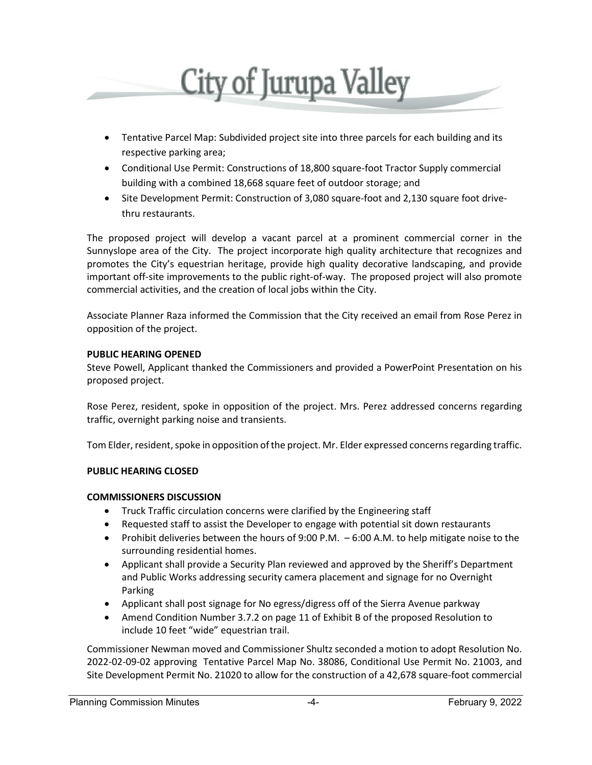

- Tentative Parcel Map: Subdivided project site into three parcels for each building and its respective parking area;
- Conditional Use Permit: Constructions of 18,800 square-foot Tractor Supply commercial building with a combined 18,668 square feet of outdoor storage; and
- Site Development Permit: Construction of 3,080 square-foot and 2,130 square foot drivethru restaurants.

The proposed project will develop a vacant parcel at a prominent commercial corner in the Sunnyslope area of the City. The project incorporate high quality architecture that recognizes and promotes the City's equestrian heritage, provide high quality decorative landscaping, and provide important off-site improvements to the public right-of-way. The proposed project will also promote commercial activities, and the creation of local jobs within the City.

Associate Planner Raza informed the Commission that the City received an email from Rose Perez in opposition of the project.

## **PUBLIC HEARING OPENED**

Steve Powell, Applicant thanked the Commissioners and provided a PowerPoint Presentation on his proposed project.

Rose Perez, resident, spoke in opposition of the project. Mrs. Perez addressed concerns regarding traffic, overnight parking noise and transients.

Tom Elder, resident, spoke in opposition of the project. Mr. Elder expressed concerns regarding traffic.

# **PUBLIC HEARING CLOSED**

# **COMMISSIONERS DISCUSSION**

- Truck Traffic circulation concerns were clarified by the Engineering staff
- Requested staff to assist the Developer to engage with potential sit down restaurants
- Prohibit deliveries between the hours of 9:00 P.M. 6:00 A.M. to help mitigate noise to the surrounding residential homes.
- Applicant shall provide a Security Plan reviewed and approved by the Sheriff's Department and Public Works addressing security camera placement and signage for no Overnight Parking
- Applicant shall post signage for No egress/digress off of the Sierra Avenue parkway
- Amend Condition Number 3.7.2 on page 11 of Exhibit B of the proposed Resolution to include 10 feet "wide" equestrian trail.

Commissioner Newman moved and Commissioner Shultz seconded a motion to adopt Resolution No. 2022-02-09-02 approving Tentative Parcel Map No. 38086, Conditional Use Permit No. 21003, and Site Development Permit No. 21020 to allow for the construction of a 42,678 square-foot commercial